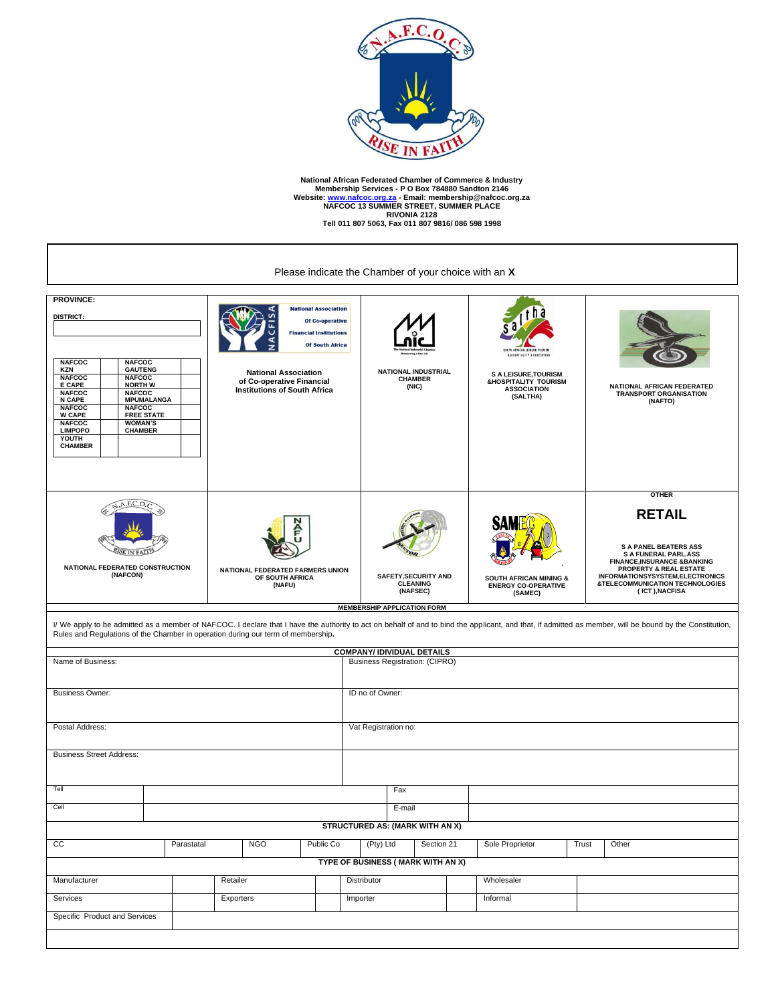

National African Federated Chamber of Commerce & Industry<br>Membership Services - P O Box 784880 Sandton 2146<br>Website: <u>www.nafcoc.org.za</u> - Email: membership@nafcoc.org.za<br>NAFCOC 13 SUMMER STREET, SUMMER PLACE<br>Tell 011 807

 $\overline{a}$ 

| Please indicate the Chamber of your choice with an X                                                                                                                                                                                                                                                                                                                                                            |                                                                                                                                                                                                                                                                                                                                    |                                                                                                                                                                                                              |          |                                                            |                         |                                                                            |                                                                                                                                                                |  |                                                                                                                                                                                                                                                                       |  |  |  |  |
|-----------------------------------------------------------------------------------------------------------------------------------------------------------------------------------------------------------------------------------------------------------------------------------------------------------------------------------------------------------------------------------------------------------------|------------------------------------------------------------------------------------------------------------------------------------------------------------------------------------------------------------------------------------------------------------------------------------------------------------------------------------|--------------------------------------------------------------------------------------------------------------------------------------------------------------------------------------------------------------|----------|------------------------------------------------------------|-------------------------|----------------------------------------------------------------------------|----------------------------------------------------------------------------------------------------------------------------------------------------------------|--|-----------------------------------------------------------------------------------------------------------------------------------------------------------------------------------------------------------------------------------------------------------------------|--|--|--|--|
| <b>PROVINCE:</b><br>DISTRICT:<br><b>NAFCOC</b><br><b>NAFCOC</b><br><b>GAUTENG</b><br><b>KZN</b><br><b>NAFCOC</b><br><b>NAFCOC</b><br>E CAPE<br><b>NORTH W</b><br><b>NAFCOC</b><br><b>NAFCOC</b><br><b>MPUMALANGA</b><br><b>N CAPE</b><br><b>NAFCOC</b><br><b>NAFCOC</b><br><b>W CAPE</b><br><b>FREE STATE</b><br><b>NAFCOC</b><br><b>WOMAN'S</b><br><b>CHAMBER</b><br><b>LIMPOPO</b><br>YOUTH<br><b>CHAMBER</b> |                                                                                                                                                                                                                                                                                                                                    | <b>National Association</b><br>Of Co-operative<br><b>Financial Institutions</b><br><b>Of South Africa</b><br><b>National Association</b><br>of Co-operative Financial<br><b>Institutions of South Africa</b> |          | NATIONAL INDUSTRIAL<br><b>CHAMBER</b><br>(NIC)             |                         |                                                                            | SOUTH AFRICAN LEISURE TOURISM<br>& HOSPITALITY ASSOCIATION<br><b>S A LEISURE, TOURISM</b><br><b>&amp;HOSPITALITY TOURISM</b><br><b>ASSOCIATION</b><br>(SALTHA) |  | NATIONAL AFRICAN FEDERATED<br><b>TRANSPORT ORGANISATION</b><br>(NAFTO)                                                                                                                                                                                                |  |  |  |  |
| A.F.C.O<br>NATIONAL FEDERATED CONSTRUCTION<br><b>NATIONAL FEDERATED FARMERS UNION</b><br>(NAFCON)<br>OF SOUTH AFRICA<br>(NAFU)                                                                                                                                                                                                                                                                                  |                                                                                                                                                                                                                                                                                                                                    |                                                                                                                                                                                                              |          | <b>SAFETY, SECURITY AND</b><br><b>CLEANING</b><br>(NAFSEC) |                         |                                                                            | <b>SOUTH AFRICAN MINING &amp;</b><br><b>ENERGY CO-OPERATIVE</b><br>(SAMEC)                                                                                     |  | <b>OTHER</b><br><b>RETAIL</b><br><b>S A PANEL BEATERS ASS</b><br><b>S A FUNERAL PARL.ASS</b><br><b>FINANCE, INSURANCE &amp; BANKING</b><br>PROPERTY & REAL ESTATE<br>INFORMATIONSYSYSTEM, ELECTRONICS<br><b>&amp;TELECOMMUNICATION TECHNOLOGIES</b><br>(ICT), NACFISA |  |  |  |  |
|                                                                                                                                                                                                                                                                                                                                                                                                                 | <b>MEMBERSHIP APPLICATION FORM</b><br>I/ We apply to be admitted as a member of NAFCOC. I declare that I have the authority to act on behalf of and to bind the applicant, and that, if admitted as member, will be bound by the Constitution,<br>Rules and Regulations of the Chamber in operation during our term of membership. |                                                                                                                                                                                                              |          |                                                            |                         |                                                                            |                                                                                                                                                                |  |                                                                                                                                                                                                                                                                       |  |  |  |  |
| Name of Business:                                                                                                                                                                                                                                                                                                                                                                                               |                                                                                                                                                                                                                                                                                                                                    |                                                                                                                                                                                                              |          |                                                            |                         | <b>COMPANY/ IDIVIDUAL DETAILS</b><br><b>Business Registration: (CIPRO)</b> |                                                                                                                                                                |  |                                                                                                                                                                                                                                                                       |  |  |  |  |
| <b>Business Owner:</b>                                                                                                                                                                                                                                                                                                                                                                                          |                                                                                                                                                                                                                                                                                                                                    |                                                                                                                                                                                                              |          |                                                            | ID no of Owner:         |                                                                            |                                                                                                                                                                |  |                                                                                                                                                                                                                                                                       |  |  |  |  |
| Postal Address:<br><b>Business Street Address:</b>                                                                                                                                                                                                                                                                                                                                                              |                                                                                                                                                                                                                                                                                                                                    |                                                                                                                                                                                                              |          |                                                            | Vat Registration no:    |                                                                            |                                                                                                                                                                |  |                                                                                                                                                                                                                                                                       |  |  |  |  |
|                                                                                                                                                                                                                                                                                                                                                                                                                 |                                                                                                                                                                                                                                                                                                                                    |                                                                                                                                                                                                              |          |                                                            |                         |                                                                            |                                                                                                                                                                |  |                                                                                                                                                                                                                                                                       |  |  |  |  |
| Tell<br>Cell                                                                                                                                                                                                                                                                                                                                                                                                    |                                                                                                                                                                                                                                                                                                                                    |                                                                                                                                                                                                              |          |                                                            | Fax<br>E-mail           |                                                                            |                                                                                                                                                                |  |                                                                                                                                                                                                                                                                       |  |  |  |  |
| <b>STRUCTURED AS: (MARK WITH AN X)</b>                                                                                                                                                                                                                                                                                                                                                                          |                                                                                                                                                                                                                                                                                                                                    |                                                                                                                                                                                                              |          |                                                            |                         |                                                                            |                                                                                                                                                                |  |                                                                                                                                                                                                                                                                       |  |  |  |  |
| cc                                                                                                                                                                                                                                                                                                                                                                                                              | Parastatal                                                                                                                                                                                                                                                                                                                         | <b>NGO</b><br>Public Co                                                                                                                                                                                      |          |                                                            | (Pty) Ltd<br>Section 21 |                                                                            | Sole Proprietor<br>Trust                                                                                                                                       |  | Other                                                                                                                                                                                                                                                                 |  |  |  |  |
| TYPE OF BUSINESS ( MARK WITH AN X)                                                                                                                                                                                                                                                                                                                                                                              |                                                                                                                                                                                                                                                                                                                                    |                                                                                                                                                                                                              |          |                                                            |                         |                                                                            |                                                                                                                                                                |  |                                                                                                                                                                                                                                                                       |  |  |  |  |
| Manufacturer                                                                                                                                                                                                                                                                                                                                                                                                    |                                                                                                                                                                                                                                                                                                                                    | Distributor<br>Retailer                                                                                                                                                                                      |          |                                                            |                         |                                                                            | Wholesaler                                                                                                                                                     |  |                                                                                                                                                                                                                                                                       |  |  |  |  |
| Services                                                                                                                                                                                                                                                                                                                                                                                                        |                                                                                                                                                                                                                                                                                                                                    | Exporters                                                                                                                                                                                                    | Importer |                                                            |                         |                                                                            | Informal                                                                                                                                                       |  |                                                                                                                                                                                                                                                                       |  |  |  |  |
|                                                                                                                                                                                                                                                                                                                                                                                                                 | Specific Product and Services                                                                                                                                                                                                                                                                                                      |                                                                                                                                                                                                              |          |                                                            |                         |                                                                            |                                                                                                                                                                |  |                                                                                                                                                                                                                                                                       |  |  |  |  |
|                                                                                                                                                                                                                                                                                                                                                                                                                 |                                                                                                                                                                                                                                                                                                                                    |                                                                                                                                                                                                              |          |                                                            |                         |                                                                            |                                                                                                                                                                |  |                                                                                                                                                                                                                                                                       |  |  |  |  |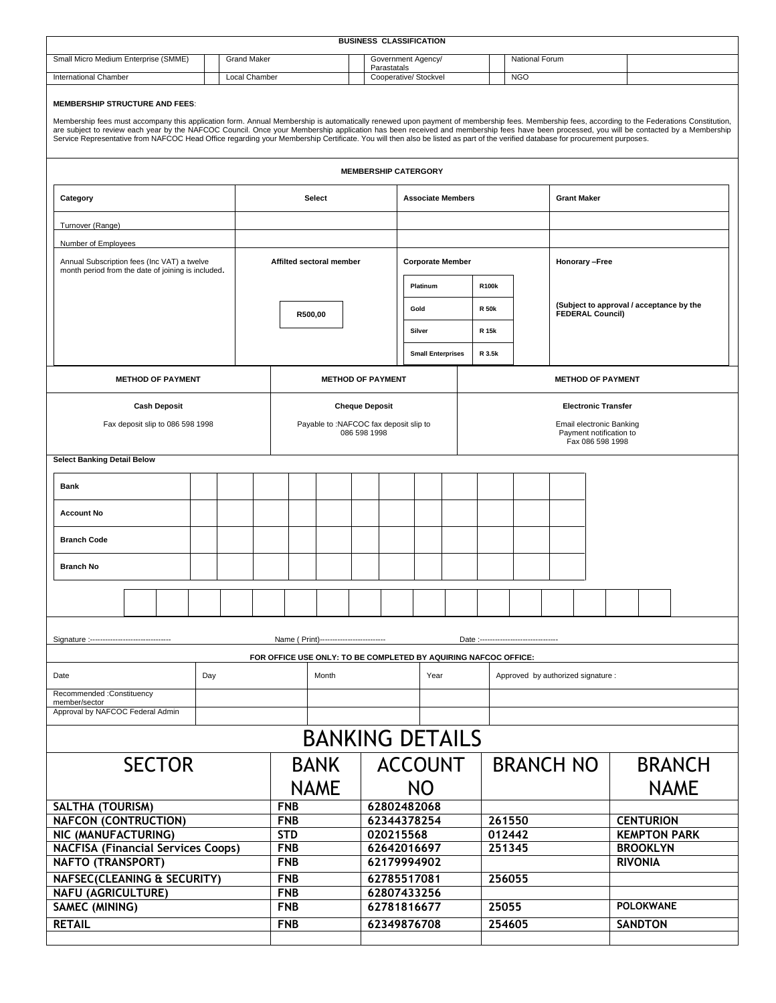|                                                                                                                                                                                                                                                                                                                                                                                                                                                                                                                                                                                                                     |  |                    |                                   |                                                                                 | <b>BUSINESS CLASSIFICATION</b> |                |                          |                          |                 |                                                                                                       |                                      |                                          |                                    |                |               |  |
|---------------------------------------------------------------------------------------------------------------------------------------------------------------------------------------------------------------------------------------------------------------------------------------------------------------------------------------------------------------------------------------------------------------------------------------------------------------------------------------------------------------------------------------------------------------------------------------------------------------------|--|--------------------|-----------------------------------|---------------------------------------------------------------------------------|--------------------------------|----------------|--------------------------|--------------------------|-----------------|-------------------------------------------------------------------------------------------------------|--------------------------------------|------------------------------------------|------------------------------------|----------------|---------------|--|
| Small Micro Medium Enterprise (SMME)                                                                                                                                                                                                                                                                                                                                                                                                                                                                                                                                                                                |  | <b>Grand Maker</b> | Government Agency/<br>Parastatals |                                                                                 |                                |                | National Forum           |                          |                 |                                                                                                       |                                      |                                          |                                    |                |               |  |
| <b>International Chamber</b>                                                                                                                                                                                                                                                                                                                                                                                                                                                                                                                                                                                        |  | Local Chamber      | Cooperative/ Stockvel             |                                                                                 |                                |                |                          |                          |                 | <b>NGO</b>                                                                                            |                                      |                                          |                                    |                |               |  |
| <b>MEMBERSHIP STRUCTURE AND FEES:</b><br>Membership fees must accompany this application form. Annual Membership is automatically renewed upon payment of membership fees. Membership fees, according to the Federations Constitution,<br>are subject to review each year by the NAFCOC Council. Once your Membership application has been received and membership fees have been processed, you will be contacted by a Membership<br>Service Representative from NAFCOC Head Office regarding your Membership Certificate. You will then also be listed as part of the verified database for procurement purposes. |  |                    |                                   |                                                                                 |                                |                |                          |                          |                 |                                                                                                       |                                      |                                          |                                    |                |               |  |
|                                                                                                                                                                                                                                                                                                                                                                                                                                                                                                                                                                                                                     |  |                    |                                   |                                                                                 | <b>MEMBERSHIP CATERGORY</b>    |                |                          |                          |                 |                                                                                                       |                                      |                                          |                                    |                |               |  |
| Category                                                                                                                                                                                                                                                                                                                                                                                                                                                                                                                                                                                                            |  |                    |                                   | Select                                                                          |                                |                |                          | <b>Associate Members</b> |                 |                                                                                                       |                                      |                                          | <b>Grant Maker</b>                 |                |               |  |
| Turnover (Range)                                                                                                                                                                                                                                                                                                                                                                                                                                                                                                                                                                                                    |  |                    |                                   |                                                                                 |                                |                |                          |                          |                 |                                                                                                       |                                      |                                          |                                    |                |               |  |
| Number of Employees                                                                                                                                                                                                                                                                                                                                                                                                                                                                                                                                                                                                 |  |                    |                                   |                                                                                 |                                |                |                          |                          |                 |                                                                                                       |                                      |                                          |                                    |                |               |  |
| Annual Subscription fees (Inc VAT) a twelve<br>month period from the date of joining is included.                                                                                                                                                                                                                                                                                                                                                                                                                                                                                                                   |  |                    |                                   | Affilted sectoral member                                                        |                                |                |                          | <b>Corporate Member</b>  |                 |                                                                                                       |                                      | Honorary -Free                           |                                    |                |               |  |
|                                                                                                                                                                                                                                                                                                                                                                                                                                                                                                                                                                                                                     |  |                    |                                   |                                                                                 |                                |                |                          | Platinum                 |                 | <b>R100k</b>                                                                                          |                                      | (Subject to approval / acceptance by the |                                    |                |               |  |
|                                                                                                                                                                                                                                                                                                                                                                                                                                                                                                                                                                                                                     |  |                    |                                   | R500,00                                                                         |                                |                | Gold                     |                          |                 | <b>R 50k</b><br>R 15k                                                                                 |                                      | <b>FEDERAL Council)</b>                  |                                    |                |               |  |
|                                                                                                                                                                                                                                                                                                                                                                                                                                                                                                                                                                                                                     |  |                    |                                   |                                                                                 |                                |                | Silver                   |                          | R 3.5k          |                                                                                                       |                                      |                                          |                                    |                |               |  |
|                                                                                                                                                                                                                                                                                                                                                                                                                                                                                                                                                                                                                     |  |                    |                                   |                                                                                 |                                |                | <b>Small Enterprises</b> |                          |                 |                                                                                                       |                                      |                                          |                                    |                |               |  |
| <b>METHOD OF PAYMENT</b>                                                                                                                                                                                                                                                                                                                                                                                                                                                                                                                                                                                            |  |                    |                                   | <b>METHOD OF PAYMENT</b>                                                        |                                |                |                          |                          |                 |                                                                                                       | <b>METHOD OF PAYMENT</b>             |                                          |                                    |                |               |  |
| <b>Cash Deposit</b><br>Fax deposit slip to 086 598 1998                                                                                                                                                                                                                                                                                                                                                                                                                                                                                                                                                             |  |                    |                                   | <b>Cheque Deposit</b><br>Payable to :NAFCOC fax deposit slip to<br>086 598 1998 |                                |                |                          |                          |                 | <b>Electronic Transfer</b><br>Email electronic Banking<br>Payment notification to<br>Fax 086 598 1998 |                                      |                                          |                                    |                |               |  |
| <b>Select Banking Detail Below</b>                                                                                                                                                                                                                                                                                                                                                                                                                                                                                                                                                                                  |  |                    |                                   |                                                                                 |                                |                |                          |                          |                 |                                                                                                       |                                      |                                          |                                    |                |               |  |
| <b>Bank</b>                                                                                                                                                                                                                                                                                                                                                                                                                                                                                                                                                                                                         |  |                    |                                   |                                                                                 |                                |                |                          |                          |                 |                                                                                                       |                                      |                                          |                                    |                |               |  |
| <b>Account No</b>                                                                                                                                                                                                                                                                                                                                                                                                                                                                                                                                                                                                   |  |                    |                                   |                                                                                 |                                |                |                          |                          |                 |                                                                                                       |                                      |                                          |                                    |                |               |  |
| <b>Branch Code</b>                                                                                                                                                                                                                                                                                                                                                                                                                                                                                                                                                                                                  |  |                    |                                   |                                                                                 |                                |                |                          |                          |                 |                                                                                                       |                                      |                                          |                                    |                |               |  |
| <b>Branch No</b>                                                                                                                                                                                                                                                                                                                                                                                                                                                                                                                                                                                                    |  |                    |                                   |                                                                                 |                                |                |                          |                          |                 |                                                                                                       |                                      |                                          |                                    |                |               |  |
|                                                                                                                                                                                                                                                                                                                                                                                                                                                                                                                                                                                                                     |  |                    |                                   |                                                                                 |                                |                |                          |                          |                 |                                                                                                       |                                      |                                          |                                    |                |               |  |
| Signature :-------------------------------                                                                                                                                                                                                                                                                                                                                                                                                                                                                                                                                                                          |  |                    |                                   | Name ( Print)--------------------------                                         |                                |                |                          |                          |                 |                                                                                                       | Date: ------------------------------ |                                          |                                    |                |               |  |
|                                                                                                                                                                                                                                                                                                                                                                                                                                                                                                                                                                                                                     |  |                    |                                   | FOR OFFICE USE ONLY: TO BE COMPLETED BY AQUIRING NAFCOC OFFICE:                 |                                |                |                          |                          |                 |                                                                                                       |                                      |                                          |                                    |                |               |  |
| Date<br>Day                                                                                                                                                                                                                                                                                                                                                                                                                                                                                                                                                                                                         |  |                    | Month                             |                                                                                 |                                |                | Year                     |                          |                 |                                                                                                       |                                      |                                          | Approved by authorized signature : |                |               |  |
| Recommended :Constituency<br>member/sector                                                                                                                                                                                                                                                                                                                                                                                                                                                                                                                                                                          |  |                    |                                   |                                                                                 |                                |                |                          |                          |                 |                                                                                                       |                                      |                                          |                                    |                |               |  |
| Approval by NAFCOC Federal Admin                                                                                                                                                                                                                                                                                                                                                                                                                                                                                                                                                                                    |  |                    |                                   |                                                                                 |                                |                |                          |                          |                 |                                                                                                       |                                      |                                          |                                    |                |               |  |
|                                                                                                                                                                                                                                                                                                                                                                                                                                                                                                                                                                                                                     |  |                    |                                   | <b>BANKING DETAILS</b>                                                          |                                |                |                          |                          |                 |                                                                                                       |                                      |                                          |                                    |                |               |  |
| <b>SECTOR</b>                                                                                                                                                                                                                                                                                                                                                                                                                                                                                                                                                                                                       |  |                    |                                   | <b>BANK</b>                                                                     |                                | <b>ACCOUNT</b> |                          |                          |                 |                                                                                                       | <b>BRANCH NO</b>                     |                                          |                                    |                | <b>BRANCH</b> |  |
| <b>SALTHA (TOURISM)</b>                                                                                                                                                                                                                                                                                                                                                                                                                                                                                                                                                                                             |  |                    |                                   | <b>NAME</b><br><b>FNB</b>                                                       |                                |                | <b>NO</b><br>62802482068 |                          |                 |                                                                                                       |                                      |                                          |                                    | <b>NAME</b>    |               |  |
| <b>NAFCON (CONTRUCTION)</b>                                                                                                                                                                                                                                                                                                                                                                                                                                                                                                                                                                                         |  |                    | <b>FNB</b>                        |                                                                                 |                                |                | 62344378254              |                          |                 | 261550                                                                                                |                                      |                                          | <b>CENTURION</b>                   |                |               |  |
| NIC (MANUFACTURING)                                                                                                                                                                                                                                                                                                                                                                                                                                                                                                                                                                                                 |  |                    | <b>STD</b>                        |                                                                                 | 020215568                      |                |                          |                          | 012442          |                                                                                                       |                                      | <b>KEMPTON PARK</b>                      |                                    |                |               |  |
| <b>NACFISA (Financial Services Coops)</b>                                                                                                                                                                                                                                                                                                                                                                                                                                                                                                                                                                           |  |                    | <b>FNB</b>                        |                                                                                 | 62642016697                    |                |                          |                          | 251345          |                                                                                                       |                                      |                                          | <b>BROOKLYN</b>                    |                |               |  |
| <b>NAFTO (TRANSPORT)</b>                                                                                                                                                                                                                                                                                                                                                                                                                                                                                                                                                                                            |  |                    | <b>FNB</b>                        |                                                                                 |                                | 62179994902    |                          |                          |                 |                                                                                                       |                                      |                                          | <b>RIVONIA</b>                     |                |               |  |
| NAFSEC(CLEANING & SECURITY)                                                                                                                                                                                                                                                                                                                                                                                                                                                                                                                                                                                         |  |                    | <b>FNB</b>                        |                                                                                 | 62785517081                    |                |                          |                          | 256055          |                                                                                                       |                                      |                                          |                                    |                |               |  |
| <b>NAFU (AGRICULTURE)</b>                                                                                                                                                                                                                                                                                                                                                                                                                                                                                                                                                                                           |  |                    | <b>FNB</b><br><b>FNB</b>          |                                                                                 | 62807433256                    |                |                          |                          |                 |                                                                                                       |                                      |                                          | <b>POLOKWANE</b>                   |                |               |  |
| SAMEC (MINING)                                                                                                                                                                                                                                                                                                                                                                                                                                                                                                                                                                                                      |  |                    |                                   |                                                                                 | 62781816677                    |                |                          |                          | 25055<br>254605 |                                                                                                       |                                      |                                          |                                    |                |               |  |
| <b>RETAIL</b>                                                                                                                                                                                                                                                                                                                                                                                                                                                                                                                                                                                                       |  |                    |                                   | <b>FNB</b>                                                                      |                                |                | 62349876708              |                          |                 |                                                                                                       |                                      |                                          |                                    | <b>SANDTON</b> |               |  |